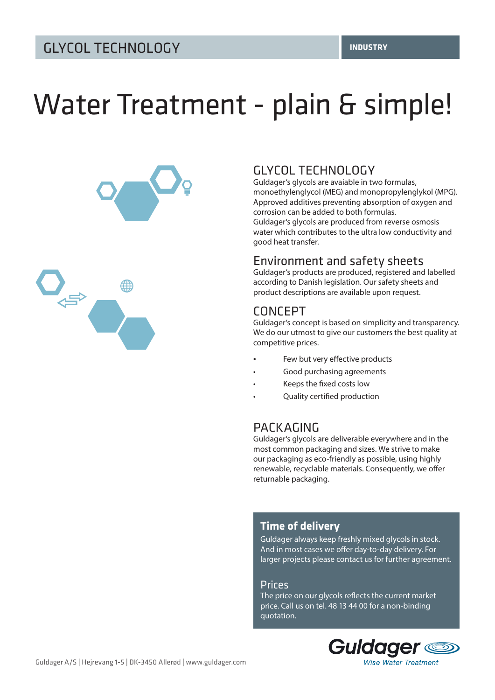# Water Treatment - plain & simple!



# GLYCOL TECHNOLOGY

Guldager's glycols are avaiable in two formulas, monoethylenglycol (MEG) and monopropylenglykol (MPG). Approved additives preventing absorption of oxygen and corrosion can be added to both formulas. Guldager's glycols are produced from reverse osmosis water which contributes to the ultra low conductivity and good heat transfer.

## Environment and safety sheets

Guldager's products are produced, registered and labelled according to Danish legislation. Our safety sheets and product descriptions are available upon request.

# CONCEPT

Guldager's concept is based on simplicity and transparency. We do our utmost to give our customers the best quality at competitive prices.

- Few but very effective products
- Good purchasing agreements
- Keeps the fixed costs low
- Quality certified production

# PACKAGING

Guldager's glycols are deliverable everywhere and in the most common packaging and sizes. We strive to make our packaging as eco-friendly as possible, using highly renewable, recyclable materials. Consequently, we offer returnable packaging.

### **Time of delivery**

Guldager always keep freshly mixed glycols in stock. And in most cases we offer day-to-day delivery. For larger projects please contact us for further agreement.

#### Prices

The price on our glycols reflects the current market price. Call us on tel. 48 13 44 00 for a non-binding quotation.